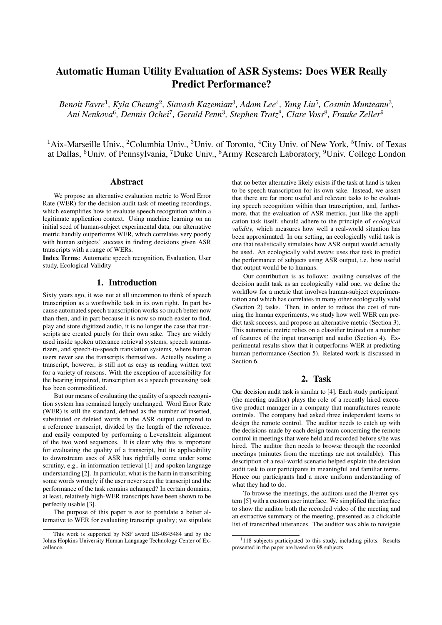# Automatic Human Utility Evaluation of ASR Systems: Does WER Really Predict Performance?

Benoit Favre<sup>1</sup>, Kyla Cheung<sup>2</sup>, Siavash Kazemian<sup>3</sup>, Adam Lee<sup>4</sup>, Yang Liu<sup>5</sup>, Cosmin Munteanu<sup>3</sup>, *Ani Nenkova*<sup>6</sup> *, Dennis Ochei*<sup>7</sup> *, Gerald Penn*<sup>3</sup> *, Stephen Tratz*<sup>8</sup> *, Clare Voss*<sup>8</sup> *, Frauke Zeller*<sup>9</sup>

 $1$ Aix-Marseille Univ., <sup>2</sup>Columbia Univ.,  $3$ Univ. of Toronto,  $4$ City Univ. of New York,  $5$ Univ. of Texas at Dallas, <sup>6</sup>Univ. of Pennsylvania, <sup>7</sup>Duke Univ., <sup>8</sup>Army Research Laboratory, <sup>9</sup>Univ. College London

# Abstract

We propose an alternative evaluation metric to Word Error Rate (WER) for the decision audit task of meeting recordings, which exemplifies how to evaluate speech recognition within a legitimate application context. Using machine learning on an initial seed of human-subject experimental data, our alternative metric handily outperforms WER, which correlates very poorly with human subjects' success in finding decisions given ASR transcripts with a range of WERs.

Index Terms: Automatic speech recognition, Evaluation, User study, Ecological Validity

## 1. Introduction

Sixty years ago, it was not at all uncommon to think of speech transcription as a worthwhile task in its own right. In part because automated speech transcription works so much better now than then, and in part because it is now so much easier to find, play and store digitized audio, it is no longer the case that transcripts are created purely for their own sake. They are widely used inside spoken utterance retrieval systems, speech summarizers, and speech-to-speech translation systems, where human users never see the transcripts themselves. Actually reading a transcript, however, is still not as easy as reading written text for a variety of reasons. With the exception of accessibility for the hearing impaired, transcription as a speech processing task has been commoditized.

But our means of evaluating the quality of a speech recognition system has remained largely unchanged. Word Error Rate (WER) is still the standard, defined as the number of inserted, substituted or deleted words in the ASR output compared to a reference transcript, divided by the length of the reference, and easily computed by performing a Levenshtein alignment of the two word sequences. It is clear why this is important for evaluating the quality of a transcript, but its applicability to downstream uses of ASR has rightfully come under some scrutiny, e.g., in information retrieval [1] and spoken language understanding [2]. In particular, what is the harm in transcribing some words wrongly if the user never sees the transcript and the performance of the task remains uchanged? In certain domains, at least, relatively high-WER transcripts have been shown to be perfectly usable [3].

The purpose of this paper is *not* to postulate a better alternative to WER for evaluating transcript quality; we stipulate that no better alternative likely exists if the task at hand is taken to be speech transcription for its own sake. Instead, we assert that there are far more useful and relevant tasks to be evaluating speech recognition within than transcription, and, furthermore, that the evaluation of ASR metrics, just like the application task itself, should adhere to the principle of *ecological validity*, which measures how well a real-world situation has been approximated. In our setting, an ecologically valid task is one that realistically simulates how ASR output would actually be used. An ecologically valid *metric* uses that task to predict the performance of subjects using ASR output, i.e. how useful that output would be to humans.

Our contribution is as follows: availing ourselves of the decision audit task as an ecologically valid one, we define the workflow for a metric that involves human-subject experimentation and which has correlates in many other ecologically valid (Section 2) tasks. Then, in order to reduce the cost of running the human experiments, we study how well WER can predict task success, and propose an alternative metric (Section 3). This automatic metric relies on a classifier trained on a number of features of the input transcript and audio (Section 4). Experimental results show that it outperforms WER at predicting human performance (Section 5). Related work is discussed in Section 6.

# 2. Task

Our decision audit task is similar to [4]. Each study participant<sup>1</sup> (the meeting auditor) plays the role of a recently hired executive product manager in a company that manufactures remote controls. The company had asked three independent teams to design the remote control. The auditor needs to catch up with the decisions made by each design team concerning the remote control in meetings that were held and recorded before s/he was hired. The auditor then needs to browse through the recorded meetings (minutes from the meetings are not available). This description of a real-world scenario helped explain the decision audit task to our participants in meaningful and familiar terms. Hence our participants had a more uniform understanding of what they had to do.

To browse the meetings, the auditors used the JFerret system [5] with a custom user interface. We simplified the interface to show the auditor both the recorded video of the meeting and an extractive summary of the meeting, presented as a clickable list of transcribed utterances. The auditor was able to navigate

This work is supported by NSF award IIS-0845484 and by the Johns Hopkins University Human Language Technology Center of Excellence.

 $1118$  subjects participated to this study, including pilots. Results presented in the paper are based on 98 subjects.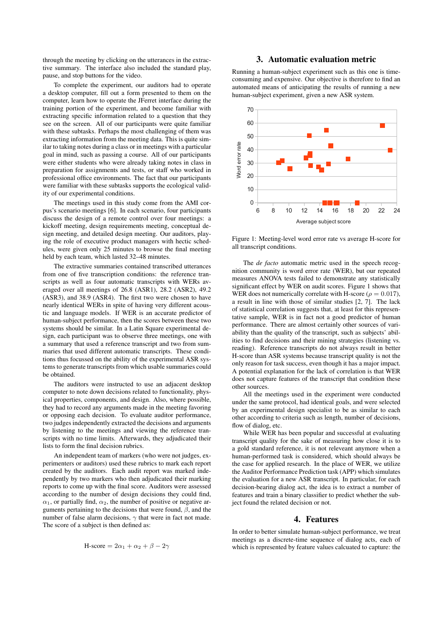through the meeting by clicking on the utterances in the extractive summary. The interface also included the standard play, pause, and stop buttons for the video.

To complete the experiment, our auditors had to operate a desktop computer, fill out a form presented to them on the computer, learn how to operate the JFerret interface during the training portion of the experiment, and become familiar with extracting specific information related to a question that they see on the screen. All of our participants were quite familiar with these subtasks. Perhaps the most challenging of them was extracting information from the meeting data. This is quite similar to taking notes during a class or in meetings with a particular goal in mind, such as passing a course. All of our participants were either students who were already taking notes in class in preparation for assignments and tests, or staff who worked in professional office environments. The fact that our participants were familiar with these subtasks supports the ecological validity of our experimental conditions.

The meetings used in this study come from the AMI corpus's scenario meetings [6]. In each scenario, four participants discuss the design of a remote control over four meetings: a kickoff meeting, design requirements meeting, conceptual design meeting, and detailed design meeting. Our auditors, playing the role of executive product managers with hectic schedules, were given only 25 minutes to browse the final meeting held by each team, which lasted 32–48 minutes.

The extractive summaries contained transcribed utterances from one of five transcription conditions: the reference transcripts as well as four automatic transcripts with WERs averaged over all meetings of 26.8 (ASR1), 28.2 (ASR2), 49.2 (ASR3), and 38.9 (ASR4). The first two were chosen to have nearly identical WERs in spite of having very different acoustic and language models. If WER is an accurate predictor of human-subject performance, then the scores between these two systems should be similar. In a Latin Square experimental design, each participant was to observe three meetings, one with a summary that used a reference transcript and two from summaries that used different automatic transcripts. These conditions thus focussed on the ability of the experimental ASR systems to generate transcripts from which usable summaries could be obtained.

The auditors were instructed to use an adjacent desktop computer to note down decisions related to functionality, physical properties, components, and design. Also, where possible, they had to record any arguments made in the meeting favoring or opposing each decision. To evaluate auditor performance, two judges independently extracted the decisions and arguments by listening to the meetings and viewing the reference transcripts with no time limits. Afterwards, they adjudicated their lists to form the final decision rubrics.

An independent team of markers (who were not judges, experimenters or auditors) used these rubrics to mark each report created by the auditors. Each audit report was marked independently by two markers who then adjudicated their marking reports to come up with the final score. Auditors were assessed according to the number of design decisions they could find,  $\alpha_1$ , or partially find,  $\alpha_2$ , the number of positive or negative arguments pertaining to the decisions that were found,  $\beta$ , and the number of false alarm decisions,  $\gamma$  that were in fact not made. The score of a subject is then defined as:

H-score = 
$$
2\alpha_1 + \alpha_2 + \beta - 2\gamma
$$

## 3. Automatic evaluation metric

Running a human-subject experiment such as this one is timeconsuming and expensive. Our objective is therefore to find an automated means of anticipating the results of running a new human-subject experiment, given a new ASR system.



Figure 1: Meeting-level word error rate vs average H-score for all transcript conditions.

The *de facto* automatic metric used in the speech recognition community is word error rate (WER), but our repeated measures ANOVA tests failed to demonstrate any statistically significant effect by WER on audit scores. Figure 1 shows that WER does not numerically correlate with H-score ( $\rho = 0.017$ ), a result in line with those of similar studies [2, 7]. The lack of statistical correlation suggests that, at least for this representative sample, WER is in fact not a good predictor of human performance. There are almost certainly other sources of variability than the quality of the transcript, such as subjects' abilities to find decisions and their mining strategies (listening vs. reading). Reference transcripts do not always result in better H-score than ASR systems because transcript quality is not the only reason for task success, even though it has a major impact. A potential explanation for the lack of correlation is that WER does not capture features of the transcript that condition these other sources.

All the meetings used in the experiment were conducted under the same protocol, had identical goals, and were selected by an experimental design specialist to be as similar to each other according to criteria such as length, number of decisions, flow of dialog, etc.

While WER has been popular and successful at evaluating transcript quality for the sake of measuring how close it is to a gold standard reference, it is not releveant anymore when a human-performed task is considered, which should always be the case for applied research. In the place of WER, we utilize the Auditor Performance Prediction task (APP) which simulates the evaluation for a new ASR transcript. In particular, for each decision-bearing dialog act, the idea is to extract a number of features and train a binary classifier to predict whether the subject found the related decision or not.

# 4. Features

In order to better simulate human-subject performance, we treat meetings as a discrete-time sequence of dialog acts, each of which is represented by feature values calcuated to capture: the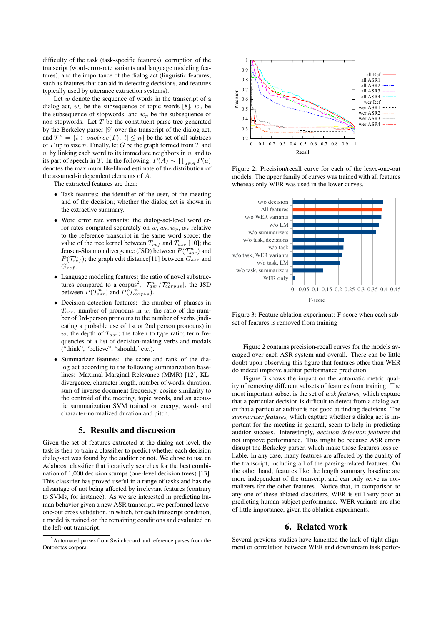difficulty of the task (task-specific features), corruption of the transcript (word-error-rate variants and language modeling features), and the importance of the dialog act (linguistic features, such as features that can aid in detecting decisions, and features typically used by utterance extraction systems).

Let  $w$  denote the sequence of words in the transcript of a dialog act,  $w_t$  be the subsequence of topic words [8],  $w_s$  be the subsequence of stopwords, and  $w_p$  be the subsequence of non-stopwords. Let  $T$  be the constituent parse tree generated by the Berkeley parser [9] over the transcript of the dialog act, and  $\mathcal{T}^n = \{t \in subtree(T), |t| \leq n\}$  be the set of all subtrees of  $T$  up to size  $n$ . Finally, let  $G$  be the graph formed from  $T$  and  $w$  by linking each word to its immediate neighbors in  $w$  and to its part of speech in T. In the following,  $P(A) \sim \prod_{a \in A} P(a)$ denotes the maximum likelihood estimate of the distribution of the assumed-independent elements of A.

The extracted features are then:

- Task features: the identifier of the user, of the meeting and of the decision; whether the dialog act is shown in the extractive summary.
- Word error rate variants: the dialog-act-level word error rates computed separately on  $w, w_t, w_p, w_s$  relative to the reference transcript in the same word space; the value of the tree kernel between  $T_{ref}$  and  $T_{asr}$  [10]; the Jensen-Shannon divergence (JSD) between  $P(\mathcal{T}_{asr}^n)$  and  $P(\mathcal{T}_{ref}^n)$ ; the graph edit distance[11] between  $G_{asr}$  and  $G_{ref}$ .
- Language modeling features: the ratio of novel substructures compared to a corpus<sup>2</sup>,  $|T_{asr}^n/T_{corpus}^n|$ ; the JSD between  $P(\mathcal{T}_{asr}^n)$  and  $P(\mathcal{T}_{corpus}^n)$ .
- Decision detection features: the number of phrases in  $T_{asr}$ ; number of pronouns in w; the ratio of the number of 3rd-person pronouns to the number of verbs (indicating a probable use of 1st or 2nd person pronouns) in w; the depth of  $T_{asr}$ ; the token to type ratio; term frequencies of a list of decision-making verbs and modals ("think", "believe", "should," etc.).
- Summarizer features: the score and rank of the dialog act according to the following summarization baselines: Maximal Marginal Relevance (MMR) [12], KLdivergence, character length, number of words, duration, sum of inverse document frequency, cosine similarity to the centroid of the meeting, topic words, and an acoustic summarization SVM trained on energy, word- and character-normalized duration and pitch.

#### 5. Results and discussion

Given the set of features extracted at the dialog act level, the task is then to train a classifier to predict whether each decision dialog-act was found by the auditor or not. We chose to use an Adaboost classifier that iteratively searches for the best combination of 1,000 decision stumps (one-level decision trees) [13]. This classifier has proved useful in a range of tasks and has the advantage of not being affected by irrelevant features (contrary to SVMs, for instance). As we are interested in predicting human behavior given a new ASR transcript, we performed leaveone-out cross validation, in which, for each transcript condition, a model is trained on the remaining conditions and evaluated on the left-out transcript.





Figure 2: Precision/recall curve for each of the leave-one-out models. The upper family of curves was trained with all features whereas only WER was used in the lower curves.



Figure 3: Feature ablation experiment: F-score when each subset of features is removed from training

Figure 2 contains precision-recall curves for the models averaged over each ASR system and overall. There can be little doubt upon observing this figure that features other than WER do indeed improve auditor performance prediction.

Figure 3 shows the impact on the automatic metric quality of removing different subsets of features from training. The most important subset is the set of *task features,* which capture that a particular decision is difficult to detect from a dialog act, or that a particular auditor is not good at finding decisions. The *summarizer features,* which capture whether a dialog act is important for the meeting in general, seem to help in predicting auditor success. Interestingly, *decision detection features* did not improve performance. This might be because ASR errors disrupt the Berkeley parser, which make those features less reliable. In any case, many features are affected by the quality of the transcript, including all of the parsing-related features. On the other hand, features like the length summary baseline are more independent of the transcript and can only serve as normalizers for the other features. Notice that, in comparison to any one of these ablated classifiers, WER is still very poor at predicting human-subject performance. WER variants are also of little importance, given the ablation experiments.

## 6. Related work

Several previous studies have lamented the lack of tight alignment or correlation between WER and downstream task perfor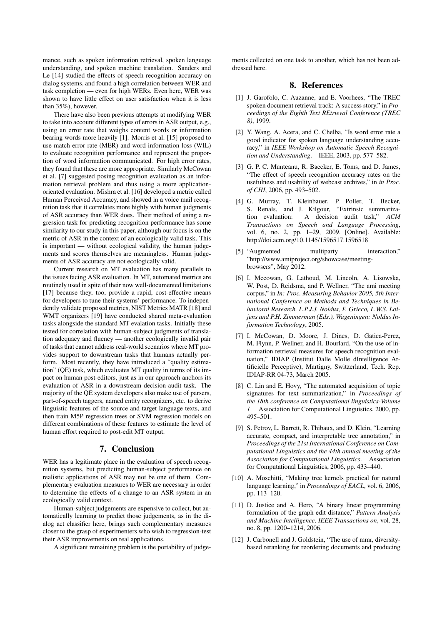mance, such as spoken information retrieval, spoken language understanding, and spoken machine translation. Sanders and Le [14] studied the effects of speech recognition accuracy on dialog systems, and found a high correlation between WER and task completion — even for high WERs. Even here, WER was shown to have little effect on user satisfaction when it is less than 35%), however.

There have also been previous attempts at modifying WER to take into account different types of errors in ASR output, e.g., using an error rate that weighs content words or information bearing words more heavily [1]. Morris et al. [15] proposed to use match error rate (MER) and word information loss (WIL) to evaluate recognition performance and represent the proportion of word information communicated. For high error rates, they found that these are more appropriate. Similarly McCowan et al. [7] suggested posing recognition evaluation as an information retrieval problem and thus using a more applicationoriented evaluation. Mishra et al. [16] developed a metric called Human Perceived Accuracy, and showed in a voice mail recognition task that it correlates more highly with human judgments of ASR accuracy than WER does. Their method of using a regression task for predicting recognition performance has some similarity to our study in this paper, although our focus is on the metric of ASR in the context of an ecologically valid task. This is important — without ecological validity, the human judgements and scores themselves are meaningless. Human judgements of ASR accuracy are not ecologically valid.

Current research on MT evaluation has many parallels to the issues facing ASR evaluation. In MT, automated metrics are routinely used in spite of their now well-documented limitations [17] because they, too, provide a rapid, cost-effective means for developers to tune their systems' performance. To independently validate proposed metrics, NIST Metrics MATR [18] and WMT organizers [19] have conducted shared meta-evaluation tasks alongside the standard MT evalation tasks. Initially these tested for correlation with human-subject judgments of translation adequacy and fluency — another ecologically invalid pair of tasks that cannot address real-world scenarios where MT provides support to downstream tasks that humans actually perform. Most recently, they have introduced a "quality estimation" (QE) task, which evaluates MT quality in terms of its impact on human post-editors, just as in our approach anchors its evaluation of ASR in a downstream decision-audit task. The majority of the QE system developers also make use of parsers, part-of-speech taggers, named entity recognizers, etc. to derive linguistic features of the source and target language texts, and then train M5P regression trees or SVM regression models on different combinations of these features to estimate the level of human effort required to post-edit MT output.

#### 7. Conclusion

WER has a legitimate place in the evaluation of speech recognition systems, but predicting human-subject performance on realistic applications of ASR may not be one of them. Complementary evaluation measures to WER are necessary in order to determine the effects of a change to an ASR system in an ecologically valid context.

Human-subject judgements are expensive to collect, but automatically learning to predict those judgements, as in the dialog act classifier here, brings such complementary measures closer to the grasp of experimenters who wish to regression-test their ASR improvements on real applications.

A significant remaining problem is the portability of judge-

ments collected on one task to another, which has not been addressed here.

#### 8. References

- [1] J. Garofolo, C. Auzanne, and E. Voorhees, "The TREC spoken document retrieval track: A success story," in *Proceedings of the Eighth Text REtrieval Conference (TREC 8)*, 1999.
- [2] Y. Wang, A. Acera, and C. Chelba, "Is word error rate a good indicator for spoken language understanding accuracy," in *IEEE Workshop on Automatic Speech Recognition and Understanding*. IEEE, 2003, pp. 577–582.
- [3] G. P. C. Munteanu, R. Baecker, E. Toms, and D. James, "The effect of speech recognition accuracy rates on the usefulness and usability of webcast archives," in *in Proc. of CHI*, 2006, pp. 493–502.
- [4] G. Murray, T. Kleinbauer, P. Poller, T. Becker, S. Renals, and J. Kilgour, "Extrinsic summarization evaluation: A decision audit task," *ACM Transactions on Speech and Language Processing*, vol. 6, no. 2, pp. 1-29, 2009. [Online]. Available: http://doi.acm.org/10.1145/1596517.1596518
- [5] "Augmented multiparty interaction," "http://www.amiproject.org/showcase/meetingbrowsers", May 2012.
- [6] I. Mccowan, G. Lathoud, M. Lincoln, A. Lisowska, W. Post, D. Reidsma, and P. Wellner, "The ami meeting corpus," in *In: Proc. Measuring Behavior 2005, 5th International Conference on Methods and Techniques in Behavioral Research. L.P.J.J. Noldus, F. Grieco, L.W.S. Loijens and P.H. Zimmerman (Eds.), Wageningen: Noldus Information Technology*, 2005.
- [7] I. McCowan, D. Moore, J. Dines, D. Gatica-Perez, M. Flynn, P. Wellner, and H. Bourlard, "On the use of information retrieval measures for speech recognition evaluation," IDIAP (Institut Dalle Molle dIntelligence Artificielle Perceptive), Martigny, Switzerland, Tech. Rep. IDIAP-RR 04-73, March 2005.
- [8] C. Lin and E. Hovy, "The automated acquisition of topic signatures for text summarization," in *Proceedings of the 18th conference on Computational linguistics-Volume 1*. Association for Computational Linguistics, 2000, pp. 495–501.
- [9] S. Petrov, L. Barrett, R. Thibaux, and D. Klein, "Learning accurate, compact, and interpretable tree annotation," in *Proceedings of the 21st International Conference on Computational Linguistics and the 44th annual meeting of the Association for Computational Linguistics*. Association for Computational Linguistics, 2006, pp. 433–440.
- [10] A. Moschitti, "Making tree kernels practical for natural language learning," in *Proceedings of EACL*, vol. 6, 2006, pp. 113–120.
- [11] D. Justice and A. Hero, "A binary linear programming formulation of the graph edit distance," *Pattern Analysis and Machine Intelligence, IEEE Transactions on*, vol. 28, no. 8, pp. 1200–1214, 2006.
- [12] J. Carbonell and J. Goldstein, "The use of mmr, diversitybased reranking for reordering documents and producing